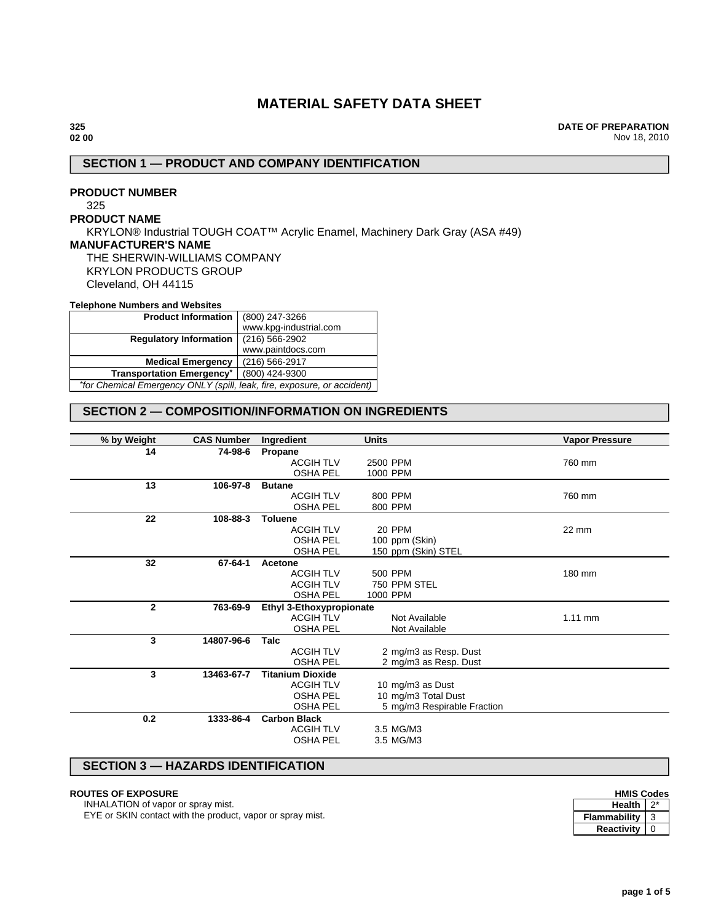# **MATERIAL SAFETY DATA SHEET**

#### **325 02 00**

**DATE OF PREPARATION** Nov 18, 2010

# **SECTION 1 — PRODUCT AND COMPANY IDENTIFICATION**

# **PRODUCT NUMBER**

325

## **PRODUCT NAME**

KRYLON® Industrial TOUGH COAT™ Acrylic Enamel, Machinery Dark Gray (ASA #49) **MANUFACTURER'S NAME** THE SHERWIN-WILLIAMS COMPANY KRYLON PRODUCTS GROUP Cleveland, OH 44115

#### **Telephone Numbers and Websites**

| <b>Product Information</b>                                              | (800) 247-3266         |  |
|-------------------------------------------------------------------------|------------------------|--|
|                                                                         | www.kpg-industrial.com |  |
| <b>Requlatory Information</b>                                           | $(216)$ 566-2902       |  |
|                                                                         | www.paintdocs.com      |  |
| <b>Medical Emergency</b>                                                | (216) 566-2917         |  |
| <b>Transportation Emergency*</b>                                        | (800) 424-9300         |  |
| *for Chemical Emergency ONLY (spill, leak, fire, exposure, or accident) |                        |  |

# **SECTION 2 — COMPOSITION/INFORMATION ON INGREDIENTS**

| % by Weight  | <b>CAS Number</b> | Ingredient               | <b>Units</b>                | <b>Vapor Pressure</b> |
|--------------|-------------------|--------------------------|-----------------------------|-----------------------|
| 14           | 74-98-6           | Propane                  |                             |                       |
|              |                   | <b>ACGIH TLV</b>         | 2500 PPM                    | 760 mm                |
|              |                   | <b>OSHA PEL</b>          | 1000 PPM                    |                       |
| 13           | 106-97-8          | <b>Butane</b>            |                             |                       |
|              |                   | <b>ACGIH TLV</b>         | 800 PPM                     | 760 mm                |
|              |                   | <b>OSHA PEL</b>          | 800 PPM                     |                       |
| 22           | 108-88-3          | <b>Toluene</b>           |                             |                       |
|              |                   | <b>ACGIH TLV</b>         | 20 PPM                      | 22 mm                 |
|              |                   | <b>OSHA PEL</b>          | 100 ppm (Skin)              |                       |
|              |                   | <b>OSHA PEL</b>          | 150 ppm (Skin) STEL         |                       |
| 32           | 67-64-1           | Acetone                  |                             |                       |
|              |                   | <b>ACGIH TLV</b>         | 500 PPM                     | 180 mm                |
|              |                   | <b>ACGIH TLV</b>         | 750 PPM STEL                |                       |
|              |                   | <b>OSHA PEL</b>          | 1000 PPM                    |                       |
| $\mathbf{2}$ | 763-69-9          | Ethyl 3-Ethoxypropionate |                             |                       |
|              |                   | <b>ACGIH TLV</b>         | Not Available               | $1.11$ mm             |
|              |                   | <b>OSHA PEL</b>          | Not Available               |                       |
| 3            | 14807-96-6        | Talc                     |                             |                       |
|              |                   | <b>ACGIH TLV</b>         | 2 mg/m3 as Resp. Dust       |                       |
|              |                   | <b>OSHA PEL</b>          | 2 mg/m3 as Resp. Dust       |                       |
| 3            | 13463-67-7        | <b>Titanium Dioxide</b>  |                             |                       |
|              |                   | <b>ACGIH TLV</b>         | 10 mg/m3 as Dust            |                       |
|              |                   | <b>OSHA PEL</b>          | 10 mg/m3 Total Dust         |                       |
|              |                   | <b>OSHA PEL</b>          | 5 mg/m3 Respirable Fraction |                       |
| 0.2          | 1333-86-4         | <b>Carbon Black</b>      |                             |                       |
|              |                   | <b>ACGIH TLV</b>         | 3.5 MG/M3                   |                       |
|              |                   | <b>OSHA PEL</b>          | 3.5 MG/M3                   |                       |

# **SECTION 3 — HAZARDS IDENTIFICATION**

## **ROUTES OF EXPOSURE**

INHALATION of vapor or spray mist.

EYE or SKIN contact with the product, vapor or spray mist.

| <b>HMIS Codes</b> |  |  |  |
|-------------------|--|--|--|
| Health I          |  |  |  |

| Health       |  |
|--------------|--|
| Flammabilitv |  |
| Reactivity   |  |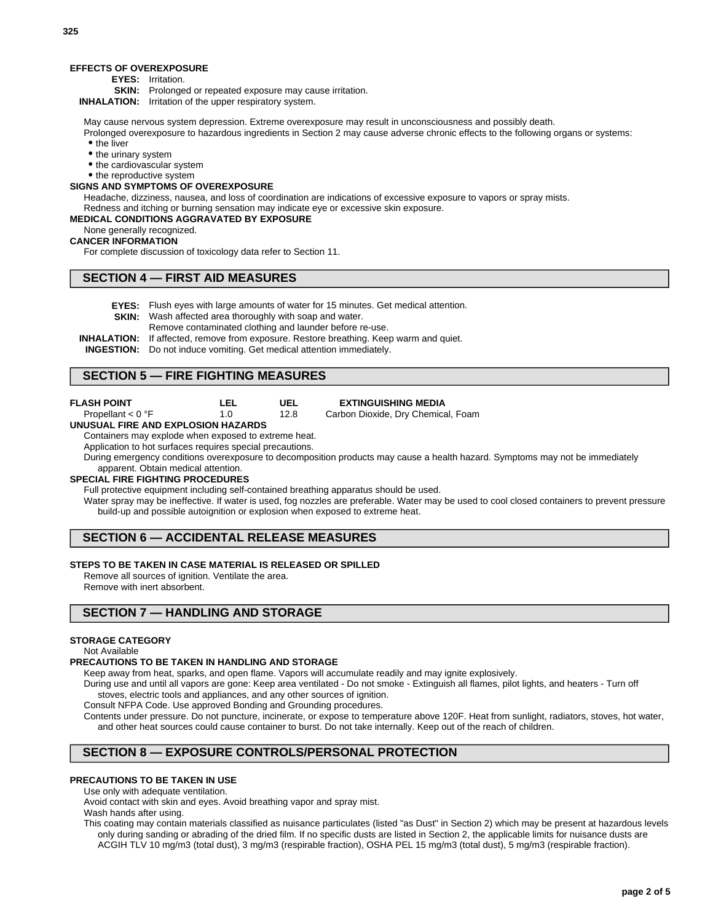#### **EFFECTS OF OVEREXPOSURE**

**EYES:** Irritation.

**SKIN:** Prolonged or repeated exposure may cause irritation.

**INHALATION:** Irritation of the upper respiratory system.

May cause nervous system depression. Extreme overexposure may result in unconsciousness and possibly death.

Prolonged overexposure to hazardous ingredients in Section 2 may cause adverse chronic effects to the following organs or systems: • the liver

- the urinary system
- the cardiovascular system
- the reproductive system

## **SIGNS AND SYMPTOMS OF OVEREXPOSURE**

Headache, dizziness, nausea, and loss of coordination are indications of excessive exposure to vapors or spray mists. Redness and itching or burning sensation may indicate eye or excessive skin exposure.

## **MEDICAL CONDITIONS AGGRAVATED BY EXPOSURE**

None generally recognized.

#### **CANCER INFORMATION**

For complete discussion of toxicology data refer to Section 11.

#### **SECTION 4 — FIRST AID MEASURES**

**EYES:** Flush eyes with large amounts of water for 15 minutes. Get medical attention.

**SKIN:** Wash affected area thoroughly with soap and water.

Remove contaminated clothing and launder before re-use.

**INHALATION:** If affected, remove from exposure. Restore breathing. Keep warm and quiet.

**UEL** 12.8

**INGESTION:** Do not induce vomiting. Get medical attention immediately.

#### **SECTION 5 — FIRE FIGHTING MEASURES**

| <b>FLASH POINT</b> |  |
|--------------------|--|
|                    |  |

| Τ.<br>- 1 |
|-----------|
|           |

#### **EXTINGUISHING MEDIA**

Carbon Dioxide, Dry Chemical, Foam

#### Propellant < 0 °F **UNUSUAL FIRE AND EXPLOSION HAZARDS**

Containers may explode when exposed to extreme heat.

Application to hot surfaces requires special precautions.

During emergency conditions overexposure to decomposition products may cause a health hazard. Symptoms may not be immediately apparent. Obtain medical attention.

# **SPECIAL FIRE FIGHTING PROCEDURES**

Full protective equipment including self-contained breathing apparatus should be used.

Water spray may be ineffective. If water is used, fog nozzles are preferable. Water may be used to cool closed containers to prevent pressure build-up and possible autoignition or explosion when exposed to extreme heat.

## **SECTION 6 — ACCIDENTAL RELEASE MEASURES**

## **STEPS TO BE TAKEN IN CASE MATERIAL IS RELEASED OR SPILLED**

Remove all sources of ignition. Ventilate the area. Remove with inert absorbent.

## **SECTION 7 — HANDLING AND STORAGE**

#### **STORAGE CATEGORY**

Not Available

#### **PRECAUTIONS TO BE TAKEN IN HANDLING AND STORAGE**

Keep away from heat, sparks, and open flame. Vapors will accumulate readily and may ignite explosively.

During use and until all vapors are gone: Keep area ventilated - Do not smoke - Extinguish all flames, pilot lights, and heaters - Turn off stoves, electric tools and appliances, and any other sources of ignition.

Consult NFPA Code. Use approved Bonding and Grounding procedures.

Contents under pressure. Do not puncture, incinerate, or expose to temperature above 120F. Heat from sunlight, radiators, stoves, hot water, and other heat sources could cause container to burst. Do not take internally. Keep out of the reach of children.

# **SECTION 8 — EXPOSURE CONTROLS/PERSONAL PROTECTION**

#### **PRECAUTIONS TO BE TAKEN IN USE**

Use only with adequate ventilation.

Avoid contact with skin and eyes. Avoid breathing vapor and spray mist.

Wash hands after using.

This coating may contain materials classified as nuisance particulates (listed "as Dust" in Section 2) which may be present at hazardous levels only during sanding or abrading of the dried film. If no specific dusts are listed in Section 2, the applicable limits for nuisance dusts are ACGIH TLV 10 mg/m3 (total dust), 3 mg/m3 (respirable fraction), OSHA PEL 15 mg/m3 (total dust), 5 mg/m3 (respirable fraction).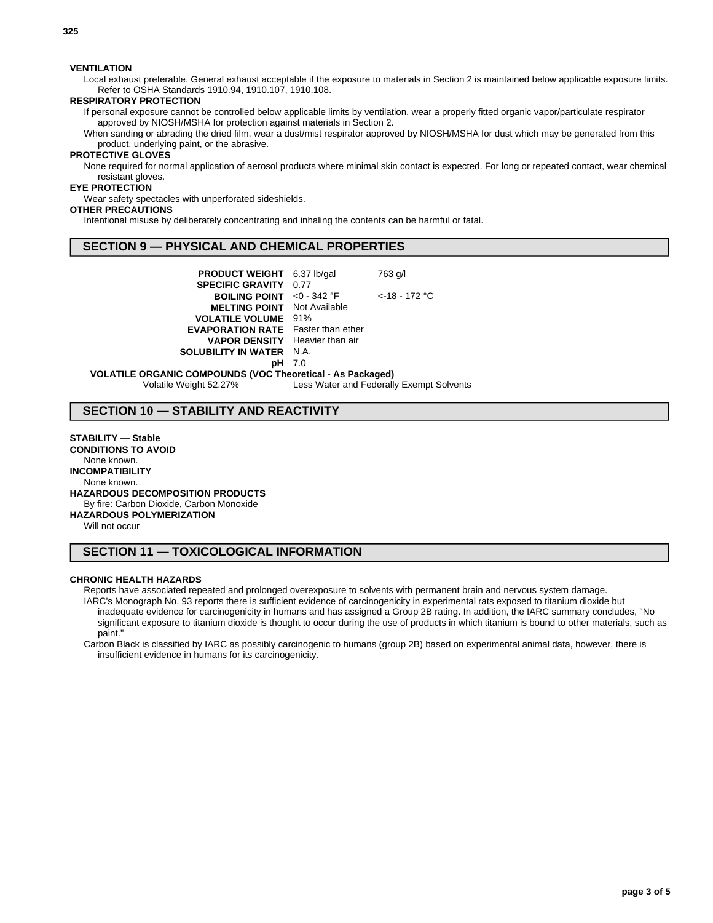**325**

## **VENTILATION**

Local exhaust preferable. General exhaust acceptable if the exposure to materials in Section 2 is maintained below applicable exposure limits. Refer to OSHA Standards 1910.94, 1910.107, 1910.108.

#### **RESPIRATORY PROTECTION**

If personal exposure cannot be controlled below applicable limits by ventilation, wear a properly fitted organic vapor/particulate respirator approved by NIOSH/MSHA for protection against materials in Section 2.

When sanding or abrading the dried film, wear a dust/mist respirator approved by NIOSH/MSHA for dust which may be generated from this product, underlying paint, or the abrasive.

## **PROTECTIVE GLOVES**

None required for normal application of aerosol products where minimal skin contact is expected. For long or repeated contact, wear chemical resistant gloves.

#### **EYE PROTECTION**

Wear safety spectacles with unperforated sideshields.

## **OTHER PRECAUTIONS**

Intentional misuse by deliberately concentrating and inhaling the contents can be harmful or fatal.

## **SECTION 9 — PHYSICAL AND CHEMICAL PROPERTIES**

| <b>PRODUCT WEIGHT</b> 6.37 lb/gal                                 |               | 763 g/l          |  |  |
|-------------------------------------------------------------------|---------------|------------------|--|--|
| <b>SPECIFIC GRAVITY 0.77</b>                                      |               |                  |  |  |
| <b>BOILING POINT</b> <0 - 342 $^{\circ}$ F                        |               | $<$ -18 - 172 °C |  |  |
| <b>MELTING POINT</b> Not Available                                |               |                  |  |  |
| <b>VOLATILE VOLUME</b> 91%                                        |               |                  |  |  |
| <b>EVAPORATION RATE</b> Faster than ether                         |               |                  |  |  |
| <b>VAPOR DENSITY</b> Heavier than air                             |               |                  |  |  |
| <b>SOLUBILITY IN WATER N.A.</b>                                   |               |                  |  |  |
|                                                                   | <b>pH</b> 7.0 |                  |  |  |
| <b>VOLATILE ORGANIC COMPOUNDS (VOC Theoretical - As Packaged)</b> |               |                  |  |  |

Volatile Weight 52.27% Less Water and Federally Exempt Solvents

## **SECTION 10 — STABILITY AND REACTIVITY**

**STABILITY — Stable CONDITIONS TO AVOID** None known. **INCOMPATIBILITY** None known. **HAZARDOUS DECOMPOSITION PRODUCTS** By fire: Carbon Dioxide, Carbon Monoxide **HAZARDOUS POLYMERIZATION**

Will not occur

# **SECTION 11 — TOXICOLOGICAL INFORMATION**

#### **CHRONIC HEALTH HAZARDS**

Reports have associated repeated and prolonged overexposure to solvents with permanent brain and nervous system damage.

IARC's Monograph No. 93 reports there is sufficient evidence of carcinogenicity in experimental rats exposed to titanium dioxide but inadequate evidence for carcinogenicity in humans and has assigned a Group 2B rating. In addition, the IARC summary concludes, "No significant exposure to titanium dioxide is thought to occur during the use of products in which titanium is bound to other materials, such as paint."

Carbon Black is classified by IARC as possibly carcinogenic to humans (group 2B) based on experimental animal data, however, there is insufficient evidence in humans for its carcinogenicity.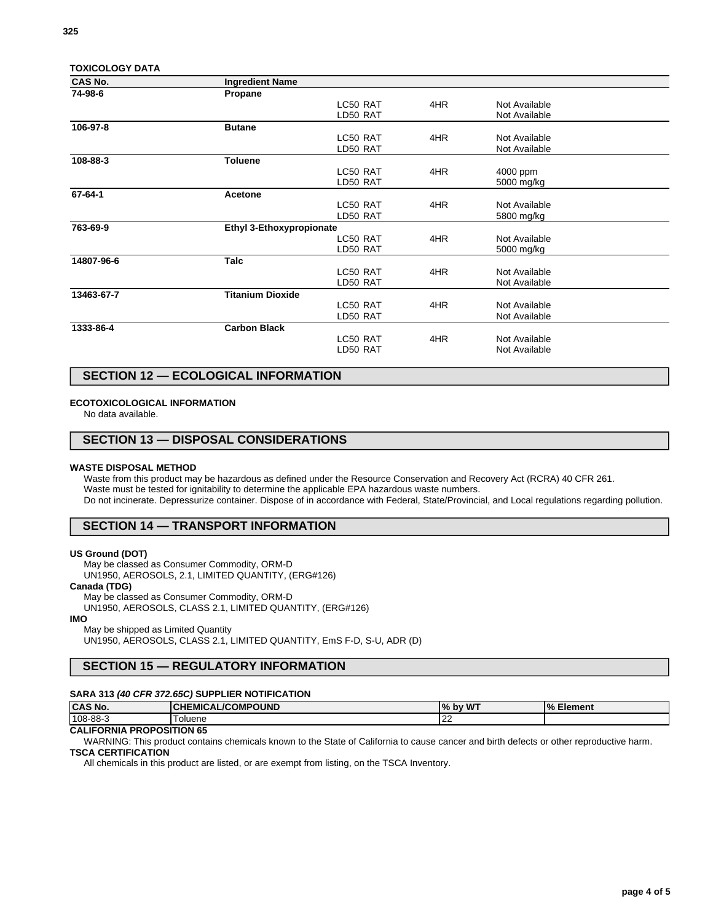| <b>TOXICOLOGY DATA</b> |                          |          |     |               |  |
|------------------------|--------------------------|----------|-----|---------------|--|
| CAS No.                | <b>Ingredient Name</b>   |          |     |               |  |
| 74-98-6                | Propane                  |          |     |               |  |
|                        |                          | LC50 RAT | 4HR | Not Available |  |
|                        |                          | LD50 RAT |     | Not Available |  |
| 106-97-8               | <b>Butane</b>            |          |     |               |  |
|                        |                          | LC50 RAT | 4HR | Not Available |  |
|                        |                          | LD50 RAT |     | Not Available |  |
| 108-88-3               | <b>Toluene</b>           |          |     |               |  |
|                        |                          | LC50 RAT | 4HR | 4000 ppm      |  |
|                        |                          | LD50 RAT |     | 5000 mg/kg    |  |
| 67-64-1                | Acetone                  |          |     |               |  |
|                        |                          | LC50 RAT | 4HR | Not Available |  |
|                        |                          | LD50 RAT |     | 5800 mg/kg    |  |
| 763-69-9               | Ethyl 3-Ethoxypropionate |          |     |               |  |
|                        |                          | LC50 RAT | 4HR | Not Available |  |
|                        |                          | LD50 RAT |     | 5000 mg/kg    |  |
| 14807-96-6             | Talc                     |          |     |               |  |
|                        |                          | LC50 RAT | 4HR | Not Available |  |
|                        |                          | LD50 RAT |     | Not Available |  |
| 13463-67-7             | <b>Titanium Dioxide</b>  |          |     |               |  |
|                        |                          | LC50 RAT | 4HR | Not Available |  |
|                        |                          | LD50 RAT |     | Not Available |  |
| 1333-86-4              | <b>Carbon Black</b>      |          |     |               |  |
|                        |                          | LC50 RAT | 4HR | Not Available |  |
|                        |                          | LD50 RAT |     | Not Available |  |
|                        |                          |          |     |               |  |

# **SECTION 12 — ECOLOGICAL INFORMATION**

#### **ECOTOXICOLOGICAL INFORMATION**

No data available.

## **SECTION 13 — DISPOSAL CONSIDERATIONS**

#### **WASTE DISPOSAL METHOD**

Waste from this product may be hazardous as defined under the Resource Conservation and Recovery Act (RCRA) 40 CFR 261. Waste must be tested for ignitability to determine the applicable EPA hazardous waste numbers. Do not incinerate. Depressurize container. Dispose of in accordance with Federal, State/Provincial, and Local regulations regarding pollution.

## **SECTION 14 — TRANSPORT INFORMATION**

#### **US Ground (DOT)**

May be classed as Consumer Commodity, ORM-D UN1950, AEROSOLS, 2.1, LIMITED QUANTITY, (ERG#126)

#### **Canada (TDG)**

May be classed as Consumer Commodity, ORM-D UN1950, AEROSOLS, CLASS 2.1, LIMITED QUANTITY, (ERG#126)

#### **IMO**

May be shipped as Limited Quantity UN1950, AEROSOLS, CLASS 2.1, LIMITED QUANTITY, EmS F-D, S-U, ADR (D)

# **SECTION 15 — REGULATORY INFORMATION**

## **SARA 313 (40 CFR 372.65C) SUPPLIER NOTIFICATION**

| <b>CAS No.</b> | <b>CHEMICAL/COMPOUND</b> | by WT<br>$\frac{9}{6}$ | $\frac{10}{6}$<br>--<br>Element |
|----------------|--------------------------|------------------------|---------------------------------|
| 108-88-3       | oluene                   | $\sim$<br>╺            |                                 |

## **CALIFORNIA PROPOSITION 65**

WARNING: This product contains chemicals known to the State of California to cause cancer and birth defects or other reproductive harm.

## **TSCA CERTIFICATION**

All chemicals in this product are listed, or are exempt from listing, on the TSCA Inventory.